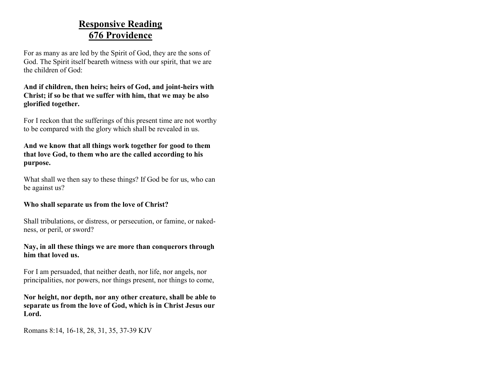### **Responsive Reading 676 Providence**

For as many as are led by the Spirit of God, they are the sons of God. The Spirit itself beareth witness with our spirit, that we are the children of God:

### **And if children, then heirs; heirs of God, and joint-heirs with Christ; if so be that we suffer with him, that we may be also glorified together.**

For I reckon that the sufferings of this present time are not worthy to be compared with the glory which shall be revealed in us.

#### **And we know that all things work together for good to them that love God, to them who are the called according to his purpose.**

What shall we then say to these things? If God be for us, who can be against us?

### **Who shall separate us from the love of Christ?**

Shall tribulations, or distress, or persecution, or famine, or nakedness, or peril, or sword?

### **Nay, in all these things we are more than conquerors through him that loved us.**

For I am persuaded, that neither death, nor life, nor angels, nor principalities, nor powers, nor things present, nor things to come,

**Nor height, nor depth, nor any other creature, shall be able to separate us from the love of God, which is in Christ Jesus our Lord.**

Romans 8:14, 16-18, 28, 31, 35, 37-39 KJV